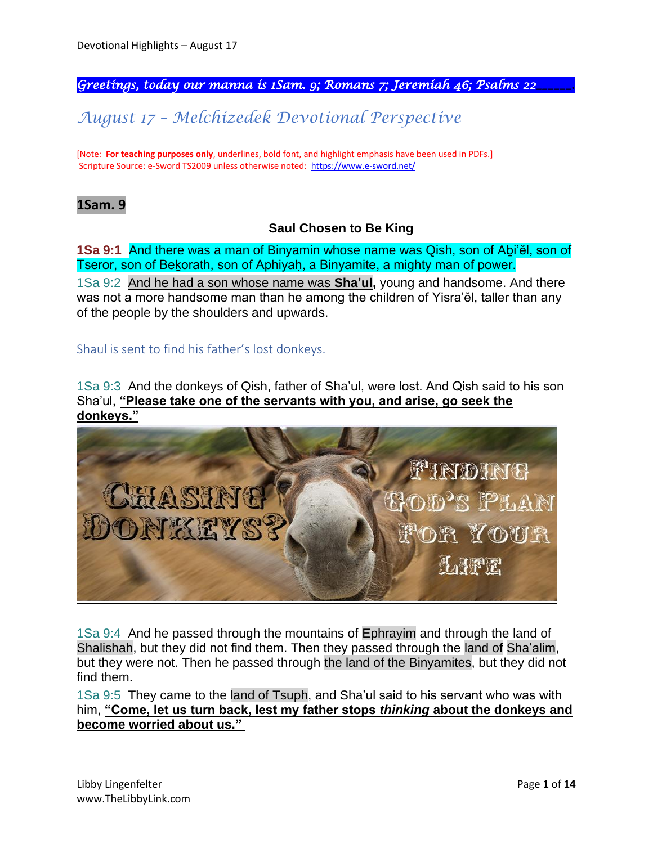*Greetings, today our manna is 1Sam. 9; Romans 7; Jeremiah 46; Psalms 22\_\_\_\_\_\_.* 

*August 17 – Melchizedek Devotional Perspective*

[Note: **For teaching purposes only**, underlines, bold font, and highlight emphasis have been used in PDFs.] Scripture Source: e-Sword TS2009 unless otherwise noted: <https://www.e-sword.net/>

## **1Sam. 9**

## **Saul Chosen to Be King**

**1Sa 9:1** And there was a man of Binyamin whose name was Qish, son of Aḇi'ěl, son of Tseror, son of Bekorath, son of Aphiyah, a Binyamite, a mighty man of power.

1Sa 9:2 And he had a son whose name was **Sha'ul,** young and handsome. And there was not a more handsome man than he among the children of Yisra'ěl, taller than any of the people by the shoulders and upwards.

Shaul is sent to find his father's lost donkeys.

1Sa 9:3 And the donkeys of Qish, father of Sha'ul, were lost. And Qish said to his son Sha'ul, **"Please take one of the servants with you, and arise, go seek the donkeys."**



1Sa 9:4 And he passed through the mountains of Ephrayim and through the land of Shalishah, but they did not find them. Then they passed through the land of Sha'alim, but they were not. Then he passed through the land of the Binyamites, but they did not find them.

1Sa 9:5 They came to the land of Tsuph, and Sha'ul said to his servant who was with him, **"Come, let us turn back, lest my father stops** *thinking* **about the donkeys and become worried about us."**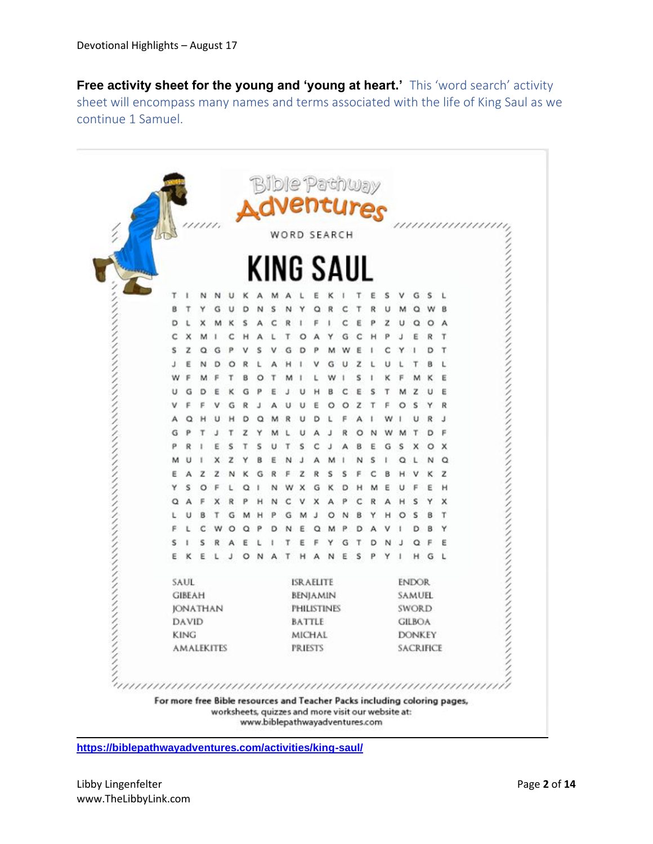**Free activity sheet for the young and 'young at heart.'** This 'word search' activity sheet will encompass many names and terms associated with the life of King Saul as we continue 1 Samuel.

|                                       |   | um. |  |  |   |   |  |  | <b>Bible Pachway</b><br>N <b>dVentures</b><br>WORD SEARCH |   |               |   |              |   |               |                  |   |   |        |
|---------------------------------------|---|-----|--|--|---|---|--|--|-----------------------------------------------------------|---|---------------|---|--------------|---|---------------|------------------|---|---|--------|
|                                       |   |     |  |  |   |   |  |  |                                                           |   |               |   |              |   |               |                  |   |   |        |
|                                       |   |     |  |  |   |   |  |  | KING SAUL                                                 |   |               |   |              |   |               |                  |   |   |        |
|                                       |   |     |  |  |   |   |  |  |                                                           |   |               |   |              |   |               |                  | G | s |        |
| B                                     |   |     |  |  |   |   |  |  |                                                           |   |               |   |              |   |               |                  |   |   |        |
| D                                     |   |     |  |  |   |   |  |  |                                                           |   |               |   |              |   | z             |                  |   | о | А      |
|                                       |   |     |  |  |   |   |  |  |                                                           |   |               |   |              |   |               |                  |   |   |        |
| s                                     | z |     |  |  |   |   |  |  |                                                           |   |               |   |              |   |               |                  |   |   | т      |
|                                       |   |     |  |  |   |   |  |  |                                                           |   |               |   |              |   |               |                  |   |   |        |
| w                                     |   |     |  |  |   |   |  |  |                                                           |   |               |   |              |   |               |                  |   |   | Ε      |
| υ                                     | G |     |  |  |   |   |  |  |                                                           |   | в             |   |              |   |               |                  |   |   | E      |
| ν                                     |   |     |  |  |   |   |  |  |                                                           |   |               |   |              |   |               |                  | s |   | R      |
| А                                     |   |     |  |  | D | с |  |  |                                                           | D |               |   |              |   |               |                  |   | R | J      |
| G                                     |   |     |  |  | z |   |  |  |                                                           |   |               |   | О            |   |               |                  |   | Đ | F      |
| ρ                                     |   |     |  |  |   |   |  |  | s                                                         |   |               |   |              | ε | G             | s                | × | O | ×      |
| м                                     |   |     |  |  |   |   |  |  |                                                           |   |               |   |              | s |               |                  |   |   | Q      |
| E                                     |   |     |  |  |   |   |  |  |                                                           |   |               |   |              |   |               |                  |   |   | z      |
| Y                                     | s |     |  |  |   |   |  |  |                                                           | G |               | D |              |   |               |                  |   |   | н      |
| Q                                     |   |     |  |  |   |   |  |  |                                                           |   |               |   |              |   |               |                  | s |   | x      |
|                                       |   |     |  |  |   |   |  |  |                                                           |   |               |   |              |   |               |                  |   |   | т      |
|                                       |   |     |  |  |   |   |  |  |                                                           |   |               |   |              |   |               |                  |   |   | Y      |
| s<br>E                                |   |     |  |  | O | N |  |  |                                                           |   | N             | Ε | s            | p | Y             |                  | н | G | ε<br>L |
|                                       |   |     |  |  |   |   |  |  |                                                           |   |               |   |              |   |               |                  |   |   |        |
| SAUL<br><b>ISRAELITE</b>              |   |     |  |  |   |   |  |  |                                                           |   |               |   | <b>ENDOR</b> |   |               |                  |   |   |        |
| <b>GIBEAH</b><br>BENJAMIN             |   |     |  |  |   |   |  |  |                                                           |   | <b>SAMUEL</b> |   |              |   |               |                  |   |   |        |
| <b>JONATHAN</b><br><b>PHILISTINES</b> |   |     |  |  |   |   |  |  |                                                           |   | SWORD         |   |              |   |               |                  |   |   |        |
| DAVID<br>BATTLE                       |   |     |  |  |   |   |  |  |                                                           |   | <b>GILBOA</b> |   |              |   |               |                  |   |   |        |
| <b>KING</b>                           |   |     |  |  |   |   |  |  | <b>MICHAL</b>                                             |   |               |   |              |   | <b>DONKEY</b> |                  |   |   |        |
| <b>AMALEKITES</b>                     |   |     |  |  |   |   |  |  | <b>PRIESTS</b>                                            |   |               |   |              |   |               | <b>SACRIFICE</b> |   |   |        |
|                                       |   |     |  |  |   |   |  |  |                                                           |   |               |   |              |   |               |                  |   |   |        |

**<https://biblepathwayadventures.com/activities/king-saul/>**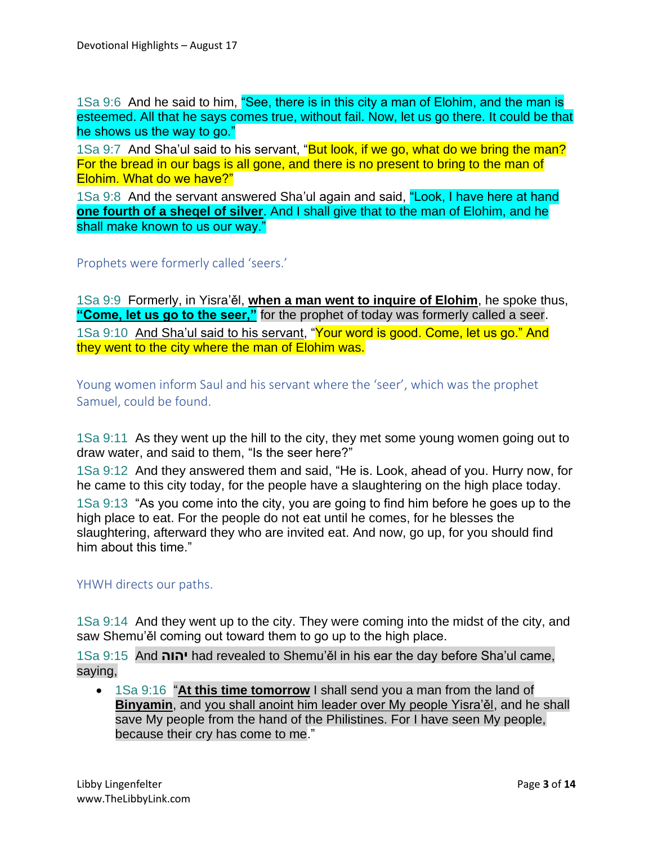1Sa 9:6 And he said to him, "See, there is in this city a man of Elohim, and the man is esteemed. All that he says comes true, without fail. Now, let us go there. It could be that he shows us the way to go."

1Sa 9:7 And Sha'ul said to his servant, "But look, if we go, what do we bring the man? For the bread in our bags is all gone, and there is no present to bring to the man of Elohim. What do we have?"

1Sa 9:8 And the servant answered Sha'ul again and said, "Look, I have here at hand **one fourth of a sheqel of silver**. And I shall give that to the man of Elohim, and he shall make known to us our way."

Prophets were formerly called 'seers.'

1Sa 9:9 Formerly, in Yisra'ěl, **when a man went to inquire of Elohim**, he spoke thus, **"Come, let us go to the seer,"** for the prophet of today was formerly called a seer. 1Sa 9:10 And Sha'ul said to his servant, "Your word is good. Come, let us go." And they went to the city where the man of Elohim was.

Young women inform Saul and his servant where the 'seer', which was the prophet Samuel, could be found.

1Sa 9:11 As they went up the hill to the city, they met some young women going out to draw water, and said to them, "Is the seer here?"

1Sa 9:12 And they answered them and said, "He is. Look, ahead of you. Hurry now, for he came to this city today, for the people have a slaughtering on the high place today.

1Sa 9:13 "As you come into the city, you are going to find him before he goes up to the high place to eat. For the people do not eat until he comes, for he blesses the slaughtering, afterward they who are invited eat. And now, go up, for you should find him about this time."

## YHWH directs our paths.

1Sa 9:14 And they went up to the city. They were coming into the midst of the city, and saw Shemu'ěl coming out toward them to go up to the high place.

1Sa 9:15 And **יהוה** had revealed to Shemu'ěl in his ear the day before Sha'ul came, saying,

• 1Sa 9:16 "**At this time tomorrow** I shall send you a man from the land of **Binyamin**, and you shall anoint him leader over My people Yisra'ěl, and he shall save My people from the hand of the Philistines. For I have seen My people, because their cry has come to me."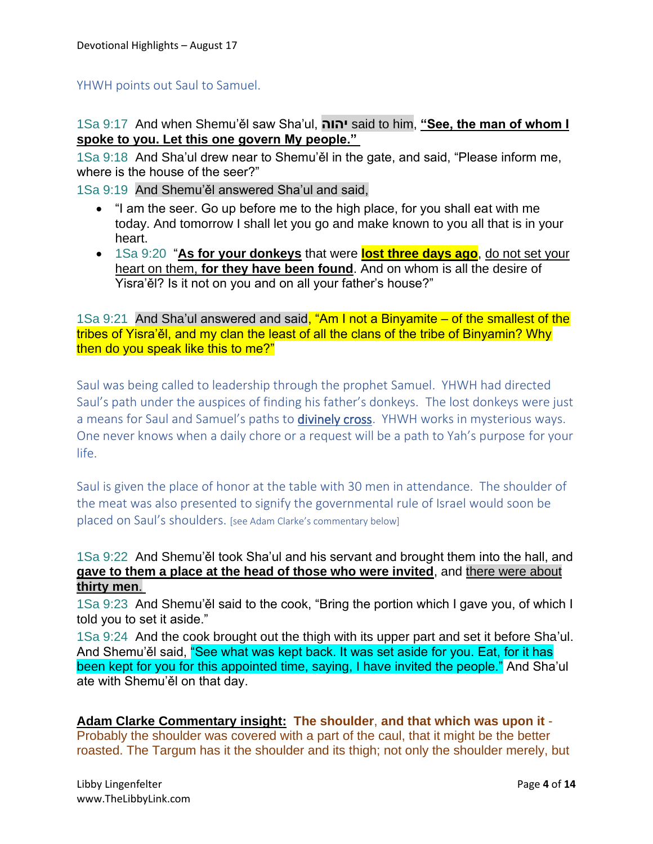YHWH points out Saul to Samuel.

1Sa 9:17 And when Shemu'ěl saw Sha'ul, **יהוה** said to him, **"See, the man of whom I spoke to you. Let this one govern My people."**

1Sa 9:18 And Sha'ul drew near to Shemu'ěl in the gate, and said, "Please inform me, where is the house of the seer?"

1Sa 9:19 And Shemu'ěl answered Sha'ul and said,

- "I am the seer. Go up before me to the high place, for you shall eat with me today. And tomorrow I shall let you go and make known to you all that is in your heart.
- 1Sa 9:20 "**As for your donkeys** that were **lost three days ago**, do not set your heart on them, **for they have been found**. And on whom is all the desire of Yisra'ěl? Is it not on you and on all your father's house?"

1Sa 9:21 And Sha'ul answered and said, "Am I not a Binyamite – of the smallest of the tribes of Yisra'ěl, and my clan the least of all the clans of the tribe of Binyamin? Why then do you speak like this to me?"

Saul was being called to leadership through the prophet Samuel. YHWH had directed Saul's path under the auspices of finding his father's donkeys. The lost donkeys were just a means for Saul and Samuel's paths to **divinely cross**. YHWH works in mysterious ways. One never knows when a daily chore or a request will be a path to Yah's purpose for your life.

Saul is given the place of honor at the table with 30 men in attendance. The shoulder of the meat was also presented to signify the governmental rule of Israel would soon be placed on Saul's shoulders. [see Adam Clarke's commentary below]

## 1Sa 9:22 And Shemu'ěl took Sha'ul and his servant and brought them into the hall, and **gave to them a place at the head of those who were invited**, and there were about **thirty men**.

1Sa 9:23 And Shemu'ěl said to the cook, "Bring the portion which I gave you, of which I told you to set it aside."

1Sa 9:24 And the cook brought out the thigh with its upper part and set it before Sha'ul. And Shemu'ěl said, "See what was kept back. It was set aside for you. Eat, for it has been kept for you for this appointed time, saying, I have invited the people." And Sha'ul ate with Shemu'ěl on that day.

**Adam Clarke Commentary insight: The shoulder**, **and that which was upon it** - Probably the shoulder was covered with a part of the caul, that it might be the better roasted. The Targum has it the shoulder and its thigh; not only the shoulder merely, but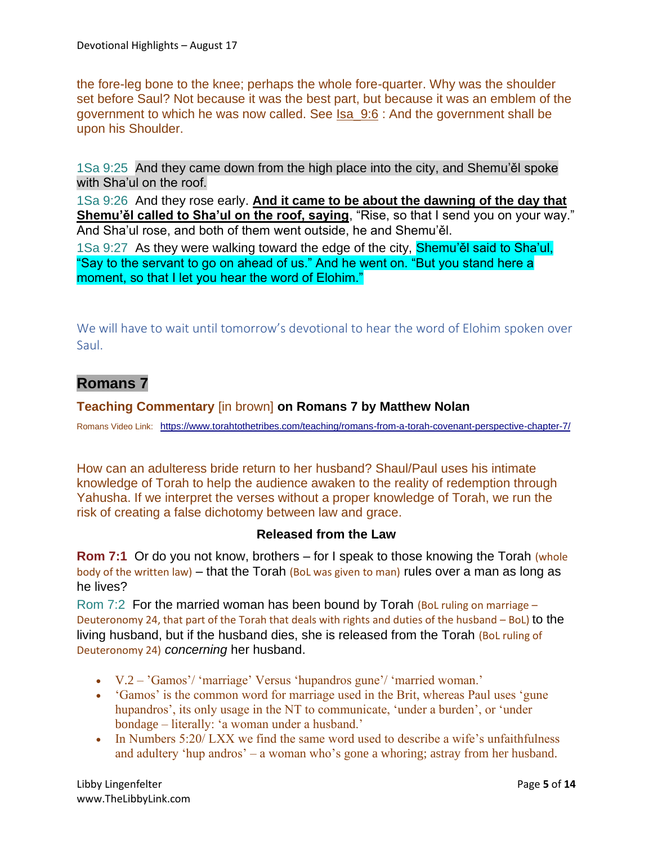the fore-leg bone to the knee; perhaps the whole fore-quarter. Why was the shoulder set before Saul? Not because it was the best part, but because it was an emblem of the government to which he was now called. See Isa\_9:6 : And the government shall be upon his Shoulder.

1Sa 9:25 And they came down from the high place into the city, and Shemu'ěl spoke with Sha'ul on the roof.

1Sa 9:26 And they rose early. **And it came to be about the dawning of the day that Shemu'ěl called to Sha'ul on the roof, saying**, "Rise, so that I send you on your way." And Sha'ul rose, and both of them went outside, he and Shemu'ěl.

1Sa 9:27 As they were walking toward the edge of the city, Shemu'ěl said to Sha'ul, "Say to the servant to go on ahead of us." And he went on. "But you stand here a moment, so that I let you hear the word of Elohim."

We will have to wait until tomorrow's devotional to hear the word of Elohim spoken over Saul.

# **Romans 7**

#### **Teaching Commentary** [in brown] **on Romans 7 by Matthew Nolan**

Romans Video Link: <https://www.torahtothetribes.com/teaching/romans-from-a-torah-covenant-perspective-chapter-7/>

How can an adulteress bride return to her husband? Shaul/Paul uses his intimate knowledge of Torah to help the audience awaken to the reality of redemption through Yahusha. If we interpret the verses without a proper knowledge of Torah, we run the risk of creating a false dichotomy between law and grace.

## **Released from the Law**

**Rom 7:1** Or do you not know, brothers – for I speak to those knowing the Torah (whole body of the written law) – that the Torah (BoL was given to man) rules over a man as long as he lives?

Rom 7:2 For the married woman has been bound by Torah (BoL ruling on marriage – Deuteronomy 24, that part of the Torah that deals with rights and duties of the husband – BoL) to the living husband, but if the husband dies, she is released from the Torah (BoL ruling of Deuteronomy 24) *concerning* her husband.

- V.2 'Gamos'/ 'marriage' Versus 'hupandros gune'/ 'married woman.'
- 'Gamos' is the common word for marriage used in the Brit, whereas Paul uses 'gune hupandros', its only usage in the NT to communicate, 'under a burden', or 'under bondage – literally: 'a woman under a husband.'
- In Numbers 5:20/ LXX we find the same word used to describe a wife's unfaithfulness and adultery 'hup andros' – a woman who's gone a whoring; astray from her husband.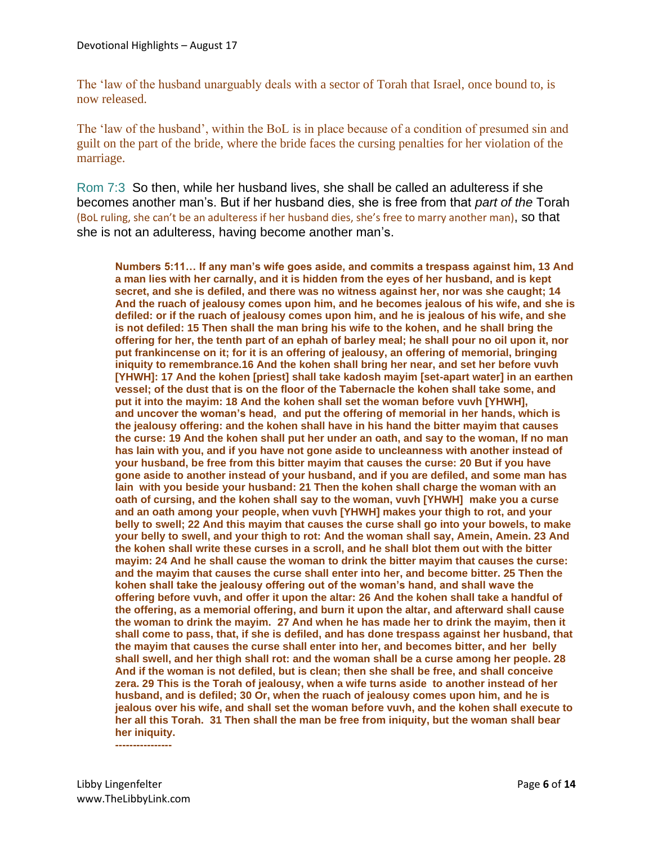The 'law of the husband unarguably deals with a sector of Torah that Israel, once bound to, is now released.

The 'law of the husband', within the BoL is in place because of a condition of presumed sin and guilt on the part of the bride, where the bride faces the cursing penalties for her violation of the marriage.

Rom 7:3 So then, while her husband lives, she shall be called an adulteress if she becomes another man's. But if her husband dies, she is free from that *part of the* Torah (BoL ruling, she can't be an adulteress if her husband dies, she's free to marry another man), so that she is not an adulteress, having become another man's.

**Numbers 5:11… If any man's wife goes aside, and commits a trespass against him, 13 And a man lies with her carnally, and it is hidden from the eyes of her husband, and is kept secret, and she is defiled, and there was no witness against her, nor was she caught; 14 And the ruach of jealousy comes upon him, and he becomes jealous of his wife, and she is defiled: or if the ruach of jealousy comes upon him, and he is jealous of his wife, and she is not defiled: 15 Then shall the man bring his wife to the kohen, and he shall bring the offering for her, the tenth part of an ephah of barley meal; he shall pour no oil upon it, nor put frankincense on it; for it is an offering of jealousy, an offering of memorial, bringing iniquity to remembrance.16 And the kohen shall bring her near, and set her before vuvh [YHWH]: 17 And the kohen [priest] shall take kadosh mayim [set-apart water] in an earthen vessel; of the dust that is on the floor of the Tabernacle the kohen shall take some, and put it into the mayim: 18 And the kohen shall set the woman before vuvh [YHWH], and uncover the woman's head, and put the offering of memorial in her hands, which is the jealousy offering: and the kohen shall have in his hand the bitter mayim that causes the curse: 19 And the kohen shall put her under an oath, and say to the woman, If no man has lain with you, and if you have not gone aside to uncleanness with another instead of your husband, be free from this bitter mayim that causes the curse: 20 But if you have gone aside to another instead of your husband, and if you are defiled, and some man has lain with you beside your husband: 21 Then the kohen shall charge the woman with an oath of cursing, and the kohen shall say to the woman, vuvh [YHWH] make you a curse and an oath among your people, when vuvh [YHWH] makes your thigh to rot, and your belly to swell; 22 And this mayim that causes the curse shall go into your bowels, to make your belly to swell, and your thigh to rot: And the woman shall say, Amein, Amein. 23 And the kohen shall write these curses in a scroll, and he shall blot them out with the bitter mayim: 24 And he shall cause the woman to drink the bitter mayim that causes the curse: and the mayim that causes the curse shall enter into her, and become bitter. 25 Then the kohen shall take the jealousy offering out of the woman's hand, and shall wave the offering before vuvh, and offer it upon the altar: 26 And the kohen shall take a handful of the offering, as a memorial offering, and burn it upon the altar, and afterward shall cause the woman to drink the mayim. 27 And when he has made her to drink the mayim, then it shall come to pass, that, if she is defiled, and has done trespass against her husband, that the mayim that causes the curse shall enter into her, and becomes bitter, and her belly shall swell, and her thigh shall rot: and the woman shall be a curse among her people. 28 And if the woman is not defiled, but is clean; then she shall be free, and shall conceive zera. 29 This is the Torah of jealousy, when a wife turns aside to another instead of her husband, and is defiled; 30 Or, when the ruach of jealousy comes upon him, and he is jealous over his wife, and shall set the woman before vuvh, and the kohen shall execute to her all this Torah. 31 Then shall the man be free from iniquity, but the woman shall bear her iniquity. ----------------**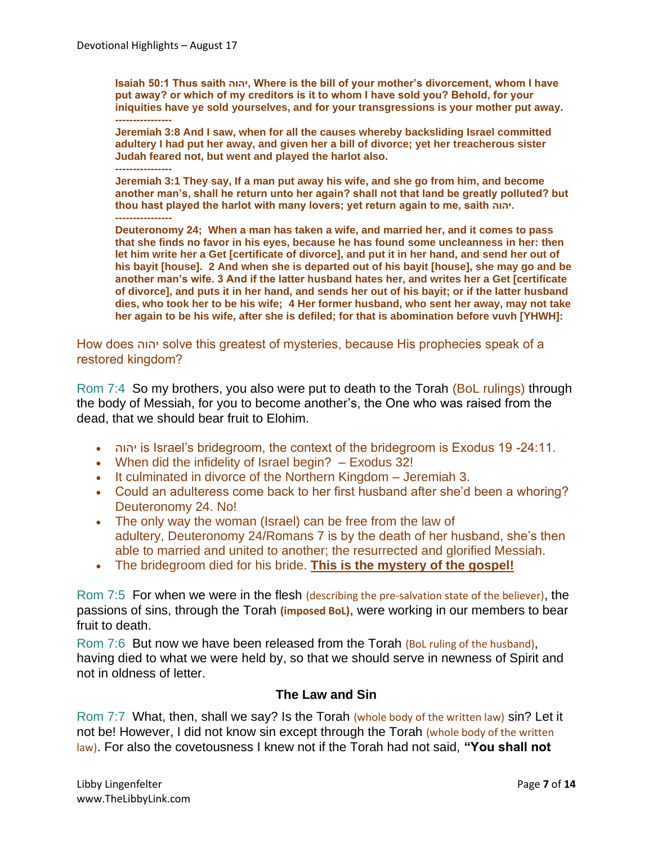**Isaiah 50:1 Thus saith יהוה, Where is the bill of your mother's divorcement, whom I have put away? or which of my creditors is it to whom I have sold you? Behold, for your iniquities have ye sold yourselves, and for your transgressions is your mother put away. ----------------**

**Jeremiah 3:8 And I saw, when for all the causes whereby backsliding Israel committed adultery I had put her away, and given her a bill of divorce; yet her treacherous sister Judah feared not, but went and played the harlot also.**

**---------------- Jeremiah 3:1 They say, If a man put away his wife, and she go from him, and become another man's, shall he return unto her again? shall not that land be greatly polluted? but thou hast played the harlot with many lovers; yet return again to me, saith יהוה. ----------------**

**Deuteronomy 24; When a man has taken a wife, and married her, and it comes to pass that she finds no favor in his eyes, because he has found some uncleanness in her: then let him write her a Get [certificate of divorce], and put it in her hand, and send her out of his bayit [house]. 2 And when she is departed out of his bayit [house], she may go and be another man's wife. 3 And if the latter husband hates her, and writes her a Get [certificate of divorce], and puts it in her hand, and sends her out of his bayit; or if the latter husband dies, who took her to be his wife; 4 Her former husband, who sent her away, may not take her again to be his wife, after she is defiled; for that is abomination before vuvh [YHWH]:**

How does יהוה solve this greatest of mysteries, because His prophecies speak of a restored kingdom?

Rom 7:4 So my brothers, you also were put to death to the Torah (BoL rulings) through the body of Messiah, for you to become another's, the One who was raised from the dead, that we should bear fruit to Elohim.

- יהוה is Israel's bridegroom, the context of the bridegroom is Exodus 19 -24:11.
- When did the infidelity of Israel begin? Exodus 32!
- It culminated in divorce of the Northern Kingdom Jeremiah 3.
- Could an adulteress come back to her first husband after she'd been a whoring? Deuteronomy 24. No!
- The only way the woman (Israel) can be free from the law of adultery, Deuteronomy 24/Romans 7 is by the death of her husband, she's then able to married and united to another; the resurrected and glorified Messiah.
- The bridegroom died for his bride. **This is the mystery of the gospel!**

Rom 7:5 For when we were in the flesh (describing the pre-salvation state of the believer), the passions of sins, through the Torah **(imposed BoL)**, were working in our members to bear fruit to death.

Rom 7:6 But now we have been released from the Torah (BoL ruling of the husband), having died to what we were held by, so that we should serve in newness of Spirit and not in oldness of letter.

#### **The Law and Sin**

Rom 7:7 What, then, shall we say? Is the Torah (whole body of the written law) sin? Let it not be! However, I did not know sin except through the Torah (whole body of the written law). For also the covetousness I knew not if the Torah had not said, **"You shall not**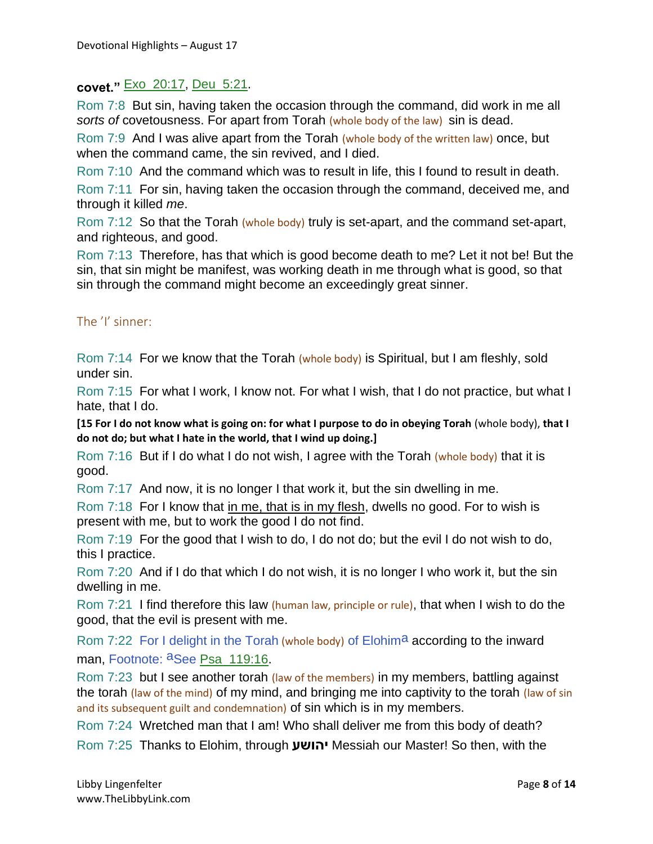## **covet."** Exo\_20:17, Deu\_5:21.

Rom 7:8 But sin, having taken the occasion through the command, did work in me all *sorts of* covetousness. For apart from Torah (whole body of the law) sin is dead.

Rom 7:9 And I was alive apart from the Torah (whole body of the written law) once, but when the command came, the sin revived, and I died.

Rom 7:10 And the command which was to result in life, this I found to result in death.

Rom 7:11 For sin, having taken the occasion through the command, deceived me, and through it killed *me*.

Rom 7:12 So that the Torah (whole body) truly is set-apart, and the command set-apart, and righteous, and good.

Rom 7:13 Therefore, has that which is good become death to me? Let it not be! But the sin, that sin might be manifest, was working death in me through what is good, so that sin through the command might become an exceedingly great sinner.

#### The 'I' sinner:

Rom 7:14 For we know that the Torah (whole body) is Spiritual, but I am fleshly, sold under sin.

Rom 7:15 For what I work, I know not. For what I wish, that I do not practice, but what I hate, that I do.

**[15 For I do not know what is going on: for what I purpose to do in obeying Torah** (whole body), **that I do not do; but what I hate in the world, that I wind up doing.]**

Rom 7:16 But if I do what I do not wish, I agree with the Torah (whole body) that it is good.

Rom 7:17 And now, it is no longer I that work it, but the sin dwelling in me.

Rom 7:18 For I know that in me, that is in my flesh, dwells no good. For to wish is present with me, but to work the good I do not find.

Rom 7:19 For the good that I wish to do, I do not do; but the evil I do not wish to do, this I practice.

Rom 7:20 And if I do that which I do not wish, it is no longer I who work it, but the sin dwelling in me.

Rom 7:21 I find therefore this law (human law, principle or rule), that when I wish to do the good, that the evil is present with me.

Rom 7:22 For I delight in the Torah (whole body) of Elohima according to the inward man, Footnote: aSee Psa\_119:16.

Rom 7:23 but I see another torah (law of the members) in my members, battling against the torah (law of the mind) of my mind, and bringing me into captivity to the torah (law of sin and its subsequent guilt and condemnation) of sin which is in my members.

Rom 7:24 Wretched man that I am! Who shall deliver me from this body of death? Rom 7:25 Thanks to Elohim, through **יהושע** Messiah our Master! So then, with the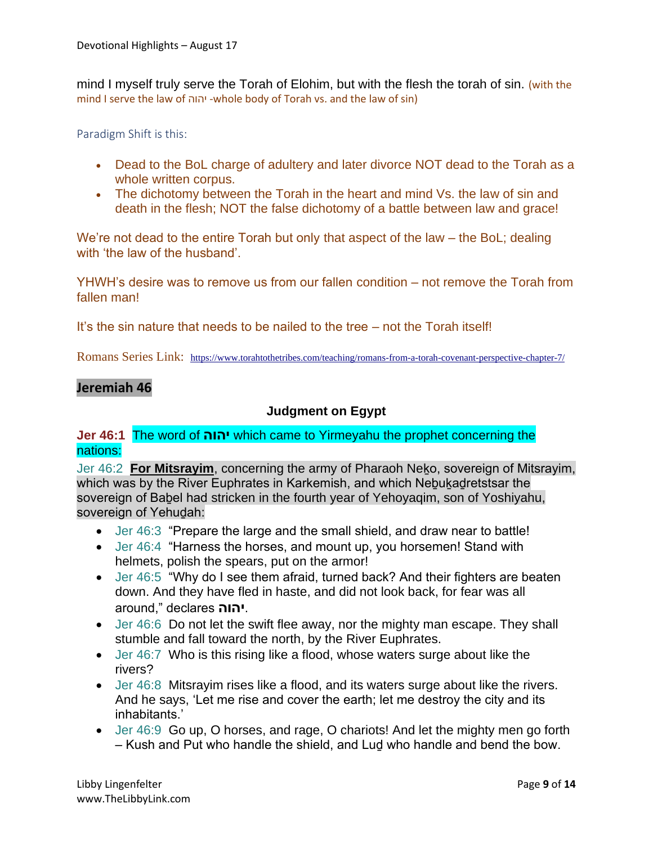mind I myself truly serve the Torah of Elohim, but with the flesh the torah of sin. (with the mind I serve the law of יהוה -whole body of Torah vs. and the law of sin)

Paradigm Shift is this:

- Dead to the BoL charge of adultery and later divorce NOT dead to the Torah as a whole written corpus.
- The dichotomy between the Torah in the heart and mind Vs. the law of sin and death in the flesh; NOT the false dichotomy of a battle between law and grace!

We're not dead to the entire Torah but only that aspect of the law – the BoL; dealing with 'the law of the husband'.

YHWH's desire was to remove us from our fallen condition – not remove the Torah from fallen man!

It's the sin nature that needs to be nailed to the tree – not the Torah itself!

Romans Series Link: <https://www.torahtothetribes.com/teaching/romans-from-a-torah-covenant-perspective-chapter-7/>

## **Jeremiah 46**

#### **Judgment on Egypt**

**Jer 46:1** The word of **יהוה** which came to Yirmeyahu the prophet concerning the nations:

Jer 46:2 **For Mitsrayim**, concerning the army of Pharaoh Neḵo, sovereign of Mitsrayim, which was by the River Euphrates in Karkemish, and which Nebukadretstsar the sovereign of Baḇel had stricken in the fourth year of Yehoyaqim, son of Yoshiyahu, sovereign of Yehuḏah:

- Jer 46:3 "Prepare the large and the small shield, and draw near to battle!
- Jer 46:4 "Harness the horses, and mount up, you horsemen! Stand with helmets, polish the spears, put on the armor!
- Jer 46:5 "Why do I see them afraid, turned back? And their fighters are beaten down. And they have fled in haste, and did not look back, for fear was all around," declares **יהוה**.
- Jer 46:6 Do not let the swift flee away, nor the mighty man escape. They shall stumble and fall toward the north, by the River Euphrates.
- Jer 46:7 Who is this rising like a flood, whose waters surge about like the rivers?
- Jer 46:8 Mitsrayim rises like a flood, and its waters surge about like the rivers. And he says, 'Let me rise and cover the earth; let me destroy the city and its inhabitants.'
- Jer 46:9 Go up, O horses, and rage, O chariots! And let the mighty men go forth – Kush and Put who handle the shield, and Luḏ who handle and bend the bow.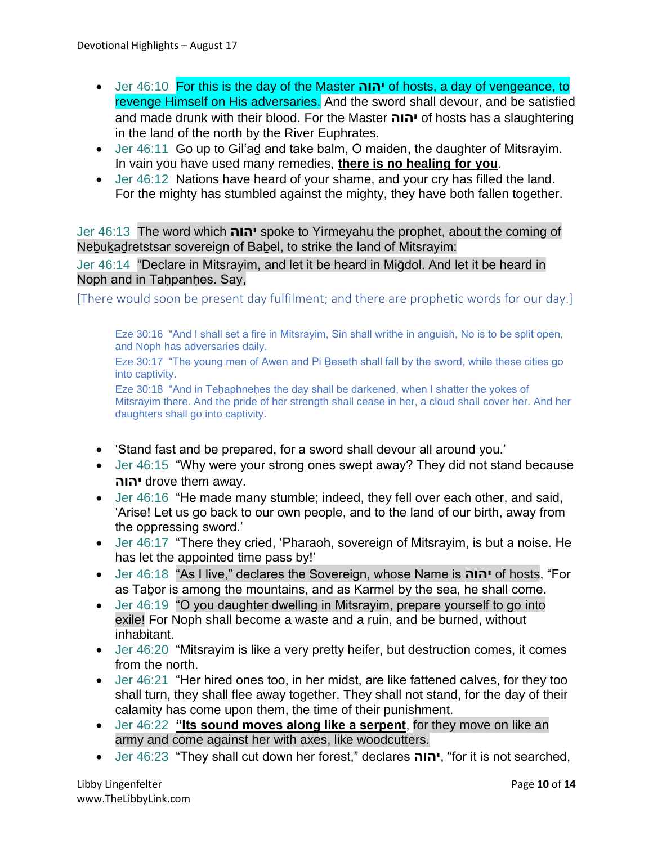- Jer 46:10 For this is the day of the Master **יהוה** of hosts, a day of vengeance, to revenge Himself on His adversaries. And the sword shall devour, and be satisfied and made drunk with their blood. For the Master **יהוה** of hosts has a slaughtering in the land of the north by the River Euphrates.
- Jer 46:11 Go up to Gil'ad and take balm, O maiden, the daughter of Mitsrayim. In vain you have used many remedies, **there is no healing for you**.
- Jer 46:12 Nations have heard of your shame, and your cry has filled the land. For the mighty has stumbled against the mighty, they have both fallen together.

Jer 46:13 The word which **יהוה** spoke to Yirmeyahu the prophet, about the coming of Nebukadretstsar sovereign of Babel, to strike the land of Mitsrayim:

Jer 46:14 "Declare in Mitsrayim, and let it be heard in Miḡdol. And let it be heard in Noph and in Taḥpanḥes. Say,

[There would soon be present day fulfilment; and there are prophetic words for our day.]

Eze 30:16 "And I shall set a fire in Mitsrayim, Sin shall writhe in anguish, No is to be split open, and Noph has adversaries daily.

Eze 30:17 "The young men of Awen and Pi Beseth shall fall by the sword, while these cities go into captivity.

Eze 30:18 "And in Tehaphnehes the day shall be darkened, when I shatter the yokes of Mitsrayim there. And the pride of her strength shall cease in her, a cloud shall cover her. And her daughters shall go into captivity.

- 'Stand fast and be prepared, for a sword shall devour all around you.'
- Jer 46:15 "Why were your strong ones swept away? They did not stand because **יהוה** drove them away.
- Jer 46:16 "He made many stumble; indeed, they fell over each other, and said, 'Arise! Let us go back to our own people, and to the land of our birth, away from the oppressing sword.'
- Jer 46:17 "There they cried, 'Pharaoh, sovereign of Mitsrayim, is but a noise. He has let the appointed time pass by!'
- Jer 46:18 "As I live," declares the Sovereign, whose Name is **יהוה** of hosts, "For as Taḇor is among the mountains, and as Karmel by the sea, he shall come.
- Jer 46:19 "O you daughter dwelling in Mitsrayim, prepare yourself to go into exile! For Noph shall become a waste and a ruin, and be burned, without inhabitant.
- Jer 46:20 "Mitsrayim is like a very pretty heifer, but destruction comes, it comes from the north.
- Jer 46:21 "Her hired ones too, in her midst, are like fattened calves, for they too shall turn, they shall flee away together. They shall not stand, for the day of their calamity has come upon them, the time of their punishment.
- Jer 46:22 **"Its sound moves along like a serpent**, for they move on like an army and come against her with axes, like woodcutters.
- Jer 46:23 "They shall cut down her forest," declares **יהוה**," for it is not searched,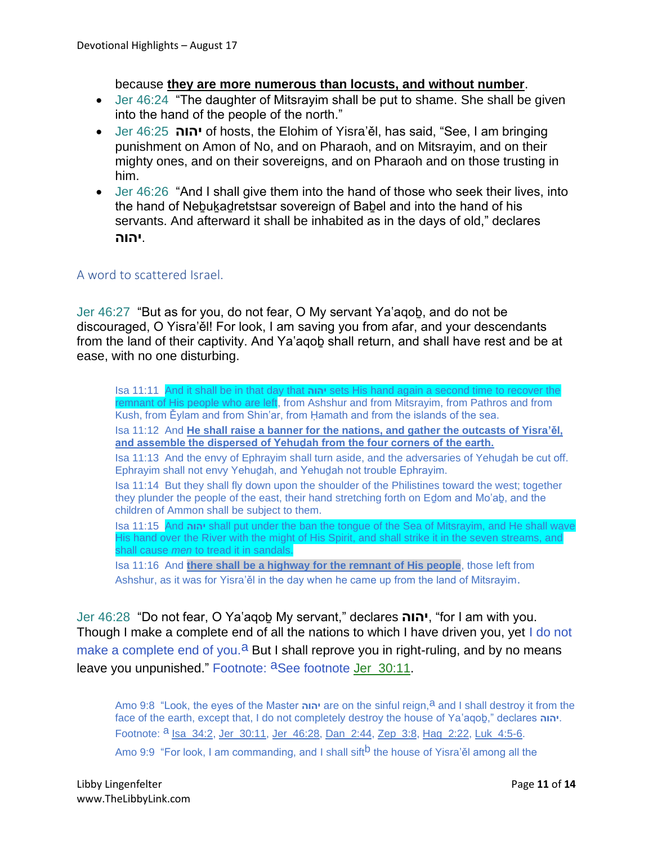#### because **they are more numerous than locusts, and without number**.

- Jer 46:24 "The daughter of Mitsrayim shall be put to shame. She shall be given into the hand of the people of the north."
- Jer 46:25 **יהוה** of hosts, the Elohim of Yisra'ěl, has said, "See, I am bringing punishment on Amon of No, and on Pharaoh, and on Mitsrayim, and on their mighty ones, and on their sovereigns, and on Pharaoh and on those trusting in him.
- Jer 46:26 "And I shall give them into the hand of those who seek their lives, into the hand of Neḇuḵaḏretstsar sovereign of Baḇel and into the hand of his servants. And afterward it shall be inhabited as in the days of old," declares .**יהוה**

#### A word to scattered Israel.

Jer 46:27 "But as for you, do not fear, O My servant Ya'aqoḇ, and do not be discouraged, O Yisra'ěl! For look, I am saving you from afar, and your descendants from the land of their captivity. And Ya'aqoḇ shall return, and shall have rest and be at ease, with no one disturbing.

Isa 11:11 And it shall be in that day that **יהוה** sets His hand again a second time to recover the remnant of His people who are left, from Ashshur and from Mitsrayim, from Pathros and from Kush, from Ěylam and from Shin'ar, from Ḥamath and from the islands of the sea. Isa 11:12 And **He shall raise a banner for the nations, and gather the outcasts of Yisra'ěl, and assemble the dispersed of Yehuḏah from the four corners of the earth.** Isa 11:13 And the envy of Ephrayim shall turn aside, and the adversaries of Yehuḏah be cut off. Ephrayim shall not envy Yehuḏah, and Yehuḏah not trouble Ephrayim. Isa 11:14 But they shall fly down upon the shoulder of the Philistines toward the west; together they plunder the people of the east, their hand stretching forth on Eḏom and Mo'aḇ, and the children of Ammon shall be subject to them. Isa 11:15 And **יהוה** shall put under the ban the tongue of the Sea of Mitsrayim, and He shall wave His hand over the River with the might of His Spirit, and shall strike it in the seven streams, and shall cause *men* to tread it in sandals. Isa 11:16 And **there shall be a highway for the remnant of His people**, those left from Ashshur, as it was for Yisra'ěl in the day when he came up from the land of Mitsrayim.

Jer 46:28 "Do not fear, O Ya'aqoḇ My servant," declares **יהוה**," for I am with you. Though I make a complete end of all the nations to which I have driven you, yet I do not make a complete end of you.<sup>a</sup> But I shall reprove you in right-ruling, and by no means leave you unpunished." Footnote: aSee footnote Jer\_30:11.

Amo 9:8 "Look, the eyes of the Master **יהוה** are on the sinful reign,a and I shall destroy it from the face of the earth, except that, I do not completely destroy the house of Ya'aqoḇ," declares **יהוה**. Footnote: <sup>a</sup> Isa\_34:2, Jer\_30:11, Jer\_46:28, Dan\_2:44, Zep\_3:8, Hag\_2:22, Luk\_4:5-6.

Amo 9:9 "For look, I am commanding, and I shall sift<sup>b</sup> the house of Yisra'ěl among all the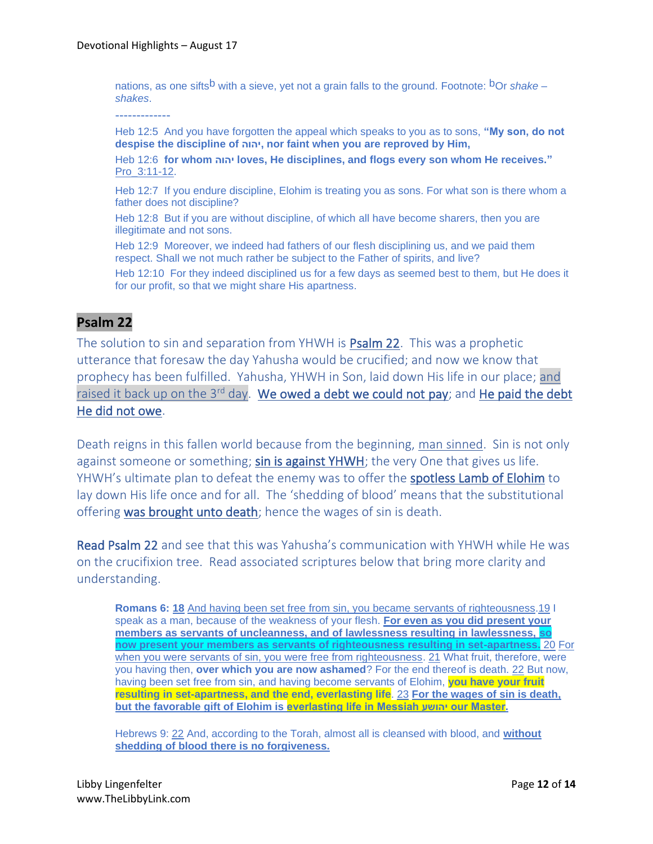nations, as one sifts<sup>b</sup> with a sieve, yet not a grain falls to the ground. Footnote: <sup>b</sup>Or *shake* – *shakes*.

-------------

Heb 12:5 And you have forgotten the appeal which speaks to you as to sons, **"My son, do not despise the discipline of יהוה, nor faint when you are reproved by Him,**

Heb 12:6 **for whom יהוה loves, He disciplines, and flogs every son whom He receives."** Pro\_3:11-12.

Heb 12:7 If you endure discipline, Elohim is treating you as sons. For what son is there whom a father does not discipline?

Heb 12:8 But if you are without discipline, of which all have become sharers, then you are illegitimate and not sons.

Heb 12:9 Moreover, we indeed had fathers of our flesh disciplining us, and we paid them respect. Shall we not much rather be subject to the Father of spirits, and live?

Heb 12:10 For they indeed disciplined us for a few days as seemed best to them, but He does it for our profit, so that we might share His apartness.

## **Psalm 22**

The solution to sin and separation from YHWH is Psalm 22. This was a prophetic utterance that foresaw the day Yahusha would be crucified; and now we know that prophecy has been fulfilled. Yahusha, YHWH in Son, laid down His life in our place; and raised it back up on the  $3^{rd}$  day. We owed a debt we could not pay; and He paid the debt He did not owe.

Death reigns in this fallen world because from the beginning, man sinned. Sin is not only against someone or something; sin is against YHWH; the very One that gives us life. YHWH's ultimate plan to defeat the enemy was to offer the spotless Lamb of Elohim to lay down His life once and for all. The 'shedding of blood' means that the substitutional offering was brought unto death; hence the wages of sin is death.

Read Psalm 22 and see that this was Yahusha's communication with YHWH while He was on the crucifixion tree. Read associated scriptures below that bring more clarity and understanding.

**Romans 6: [18](https://biblehub.com/romans/6-18.htm)** And having been set free from sin, you became servants of righteousness[.19](https://biblehub.com/romans/6-19.htm) I speak as a man, because of the weakness of your flesh. **For even as you did present your members as servants of uncleanness, and of lawlessness resulting in lawlessness, so now present your members as servants of righteousness resulting in set-apartness.** [20](https://biblehub.com/romans/6-20.htm) For when you were servants of sin, you were free from righteousness. [21](https://biblehub.com/romans/6-21.htm) What fruit, therefore, were you having then, **over which you are now ashamed**? For the end thereof is death. [22](https://biblehub.com/romans/6-22.htm) But now, having been set free from sin, and having become servants of Elohim, **you have your fruit resulting in set-apartness, and the end, everlasting life**. [23](https://biblehub.com/romans/6-23.htm) **For the wages of sin is death, but the favorable gift of Elohim is everlasting life in Messiah יהושע our Master.**

Hebrews 9: [22](https://biblehub.com/hebrews/9-22.htm) And, according to the Torah, almost all is cleansed with blood, and **without shedding of blood there is no forgiveness.**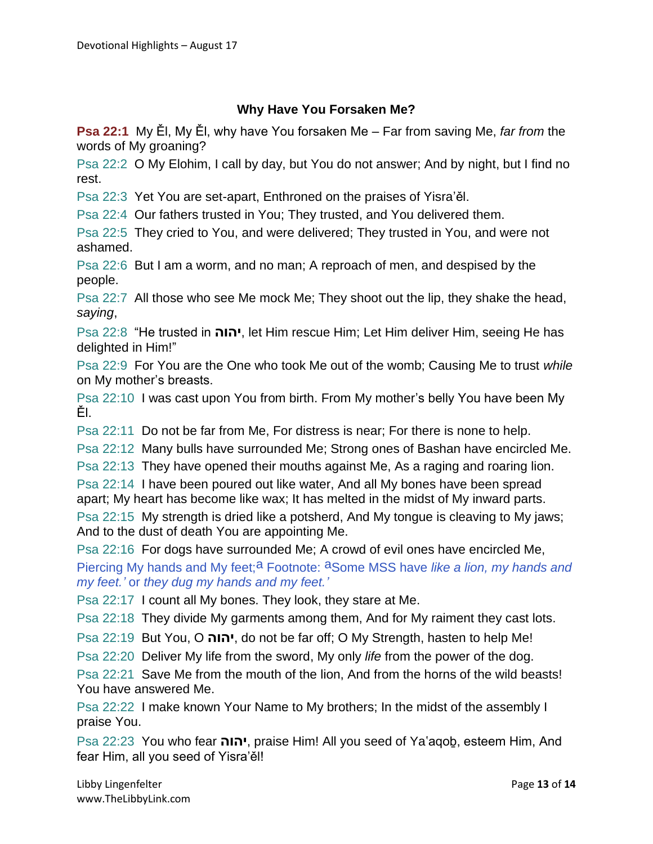# **Why Have You Forsaken Me?**

**Psa 22:1** My Ěl, My Ěl, why have You forsaken Me – Far from saving Me, *far from* the words of My groaning?

Psa 22:2 O My Elohim, I call by day, but You do not answer; And by night, but I find no rest.

Psa 22:3 Yet You are set-apart, Enthroned on the praises of Yisra'ěl.

Psa 22:4 Our fathers trusted in You; They trusted, and You delivered them.

Psa 22:5 They cried to You, and were delivered; They trusted in You, and were not ashamed.

Psa 22:6 But I am a worm, and no man; A reproach of men, and despised by the people.

Psa 22:7 All those who see Me mock Me; They shoot out the lip, they shake the head, *saying*,

Psa 22:8 "He trusted in **יהוה**, let Him rescue Him; Let Him deliver Him, seeing He has delighted in Him!"

Psa 22:9 For You are the One who took Me out of the womb; Causing Me to trust *while* on My mother's breasts.

Psa 22:10 I was cast upon You from birth. From My mother's belly You have been My Ěl.

Psa 22:11 Do not be far from Me, For distress is near; For there is none to help.

Psa 22:12 Many bulls have surrounded Me; Strong ones of Bashan have encircled Me.

Psa 22:13 They have opened their mouths against Me, As a raging and roaring lion.

Psa 22:14 I have been poured out like water, And all My bones have been spread apart; My heart has become like wax; It has melted in the midst of My inward parts.

Psa 22:15 My strength is dried like a potsherd, And My tongue is cleaving to My jaws; And to the dust of death You are appointing Me.

Psa 22:16 For dogs have surrounded Me; A crowd of evil ones have encircled Me,

Piercing My hands and My feet;<sup>a</sup> Footnote: <sup>a</sup>Some MSS have *like a lion, my hands and my feet.'* or *they dug my hands and my feet.'*

Psa 22:17 I count all My bones. They look, they stare at Me.

Psa 22:18 They divide My garments among them, And for My raiment they cast lots.

Psa 22:19 But You, O **יהוה**, do not be far off; O My Strength, hasten to help Me!

Psa 22:20 Deliver My life from the sword, My only *life* from the power of the dog.

Psa 22:21 Save Me from the mouth of the lion, And from the horns of the wild beasts! You have answered Me.

Psa 22:22 I make known Your Name to My brothers; In the midst of the assembly I praise You.

Psa 22:23 You who fear **יהוה**, praise Him! All you seed of Ya'aqoḇ, esteem Him, And fear Him, all you seed of Yisra'ěl!